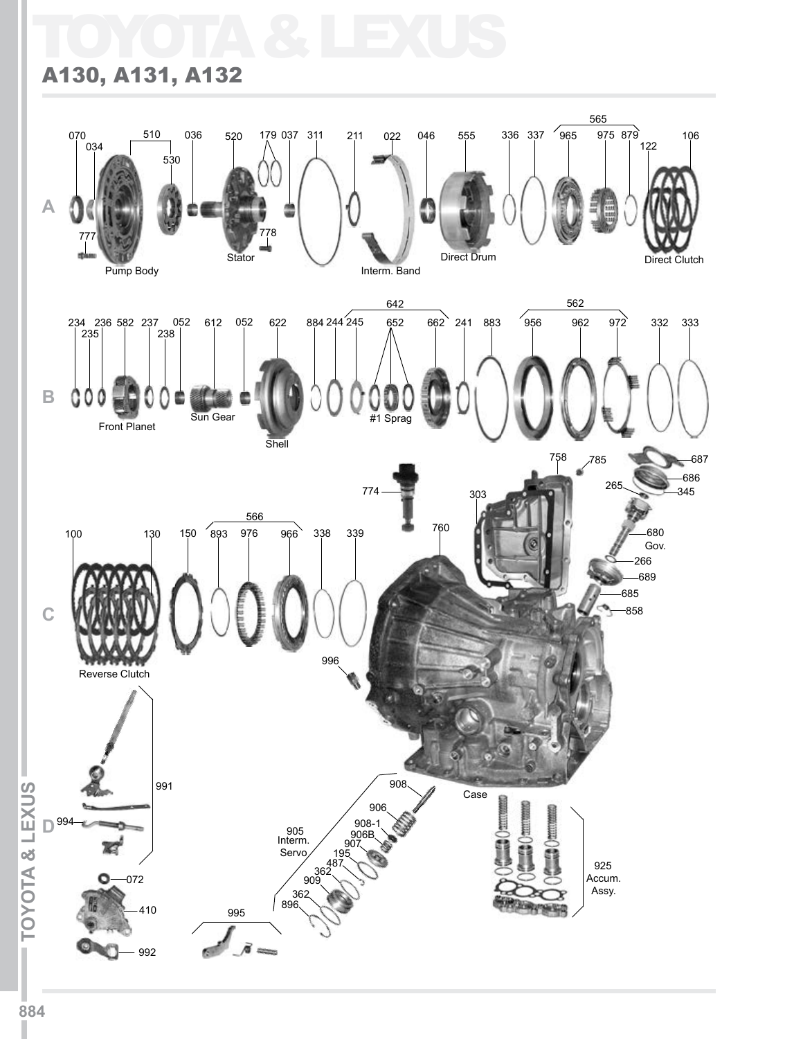## TOYOTA & LEXUS

## A130, A131, A132